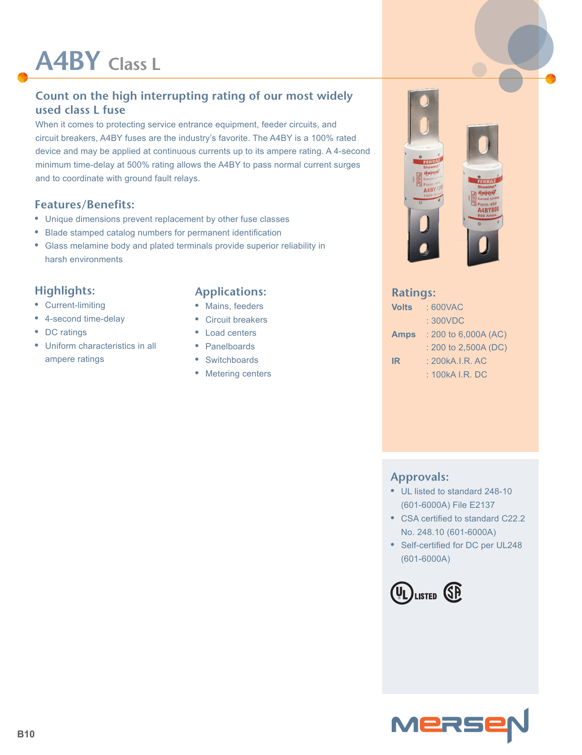# **A4BY Class L**

# **Count on the high interrupting rating of our most widely used class L fuse**

When it comes to protecting service entrance equipment, feeder circuits, and circuit breakers, A4BY fuses are the industry's favorite. The A4BY is a 100% rated device and may be applied at continuous currents up to its ampere rating. A 4-second minimum time-delay at 500% rating allows the A4BY to pass normal current surges and to coordinate with ground fault relays.

#### **Features/Benefits:**

- **•** Unique dimensions prevent replacement by other fuse classes
- **•** Blade stamped catalog numbers for permanent identification
- **•** Glass melamine body and plated terminals provide superior reliability in harsh environments

## **Highlights:**

- **•** Current-limiting
- **•** 4-second time-delay
- **•** DC ratings
- **•** Uniform characteristics in all ampere ratings

# **Applications:**

- **•** Mains, feeders
- **•** Circuit breakers
- **•** Load centers
- **•** Panelboards
- **•** Switchboards
- **•** Metering centers

# $A4B$ **4BY8**

#### **Ratings:**

| <b>Volts</b> | : 600VAC               |
|--------------|------------------------|
|              | : 300VDC               |
| <b>Amps</b>  | $: 200$ to 6,000A (AC) |
|              | $: 200$ to 2,500A (DC) |
| IR           | : 200kA.I.R. AC        |
|              | : 100kA I.R. DC        |

#### **Approvals:**

- **•** UL listed to standard 248-10 (601-6000A) File E2137
- **•** CSA certified to standard C22.2 No. 248.10 (601-6000A)
- **•** Self-certified for DC per UL248 (601-6000A)